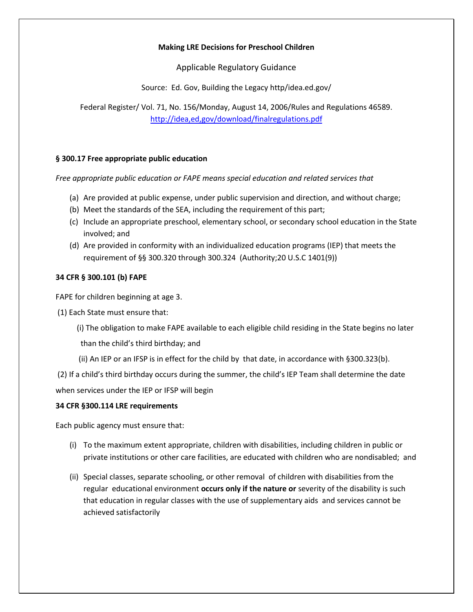# **Making LRE Decisions for Preschool Children**

Applicable Regulatory Guidance

Source: Ed. Gov, Building the Legacy http/idea.ed.gov/

Federal Register/ Vol. 71, No. 156/Monday, August 14, 2006/Rules and Regulations 46589. <http://idea,ed,gov/download/finalregulations.pdf>

# **§ 300.17 Free appropriate public education**

*Free appropriate public education or FAPE means special education and related services that*

- (a) Are provided at public expense, under public supervision and direction, and without charge;
- (b) Meet the standards of the SEA, including the requirement of this part;
- (c) Include an appropriate preschool, elementary school, or secondary school education in the State involved; and
- (d) Are provided in conformity with an individualized education programs (IEP) that meets the requirement of §§ 300.320 through 300.324 (Authority;20 U.S.C 1401(9))

# **34 CFR § 300.101 (b) FAPE**

FAPE for children beginning at age 3.

(1) Each State must ensure that:

(i) The obligation to make FAPE available to each eligible child residing in the State begins no later

than the child's third birthday; and

(ii) An IEP or an IFSP is in effect for the child by that date, in accordance with §300.323(b).

(2) If a child's third birthday occurs during the summer, the child's IEP Team shall determine the date when services under the IEP or IFSP will begin

## **34 CFR §300.114 LRE requirements**

Each public agency must ensure that:

- (i) To the maximum extent appropriate, children with disabilities, including children in public or private institutions or other care facilities, are educated with children who are nondisabled; and
- (ii) Special classes, separate schooling, or other removal of children with disabilities from the regular educational environment **occurs only if the nature or** severity of the disability is such that education in regular classes with the use of supplementary aids and services cannot be achieved satisfactorily